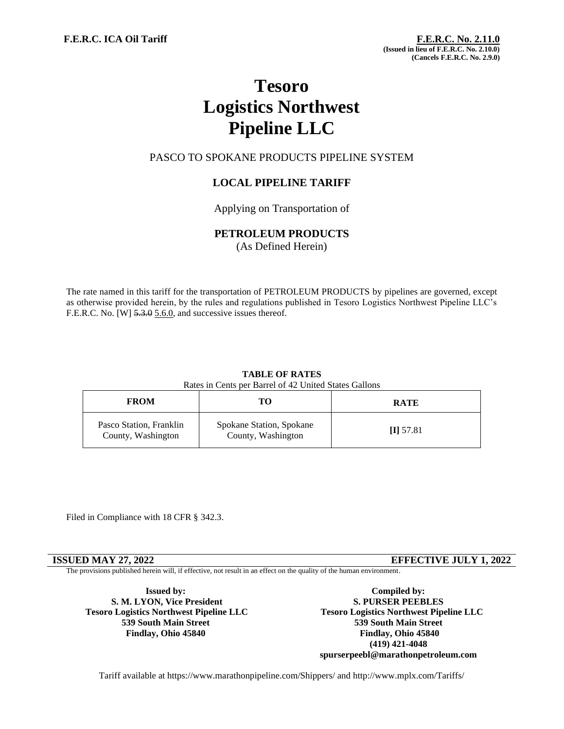# **Tesoro Logistics Northwest Pipeline LLC**

# PASCO TO SPOKANE PRODUCTS PIPELINE SYSTEM

# **LOCAL PIPELINE TARIFF**

Applying on Transportation of

## **PETROLEUM PRODUCTS**

(As Defined Herein)

The rate named in this tariff for the transportation of PETROLEUM PRODUCTS by pipelines are governed, except as otherwise provided herein, by the rules and regulations published in Tesoro Logistics Northwest Pipeline LLC's F.E.R.C. No. [W]  $5.3.0$  5.6.0, and successive issues thereof.

# **TABLE OF RATES**

Rates in Cents per Barrel of 42 United States Gallons

| <b>FROM</b>                                   | то                                             | <b>RATE</b> |
|-----------------------------------------------|------------------------------------------------|-------------|
| Pasco Station, Franklin<br>County, Washington | Spokane Station, Spokane<br>County, Washington | $\Pi$ 57.81 |

Filed in Compliance with 18 CFR § 342.3.

**ISSUED MAY 27, 2022 EFFECTIVE JULY 1, 2022**

The provisions published herein will, if effective, not result in an effect on the quality of the human environment.

**Issued by: S. M. LYON, Vice President Tesoro Logistics Northwest Pipeline LLC 539 South Main Street Findlay, Ohio 45840**

**Compiled by: S. PURSER PEEBLES Tesoro Logistics Northwest Pipeline LLC 539 South Main Street Findlay, Ohio 45840 (419) 421-4048 spurserpeebl@marathonpetroleum.com**

Tariff available at https://www.marathonpipeline.com/Shippers/ and http://www.mplx.com/Tariffs/